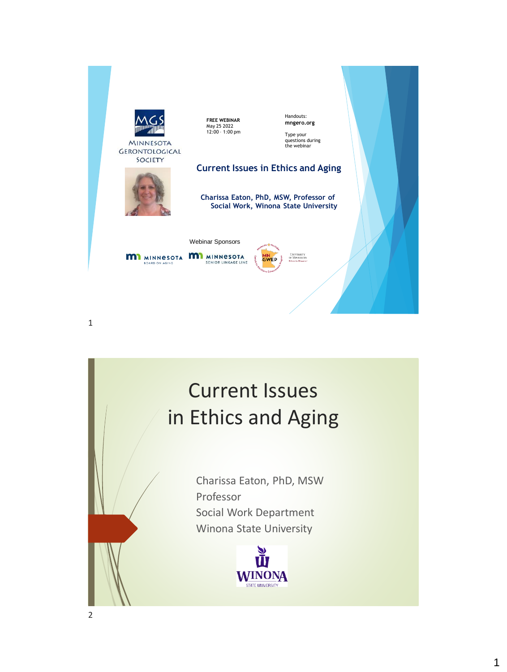

## Current Issues in Ethics and Aging

Charissa Eaton, PhD, MSW Professor Social Work Department Winona State University

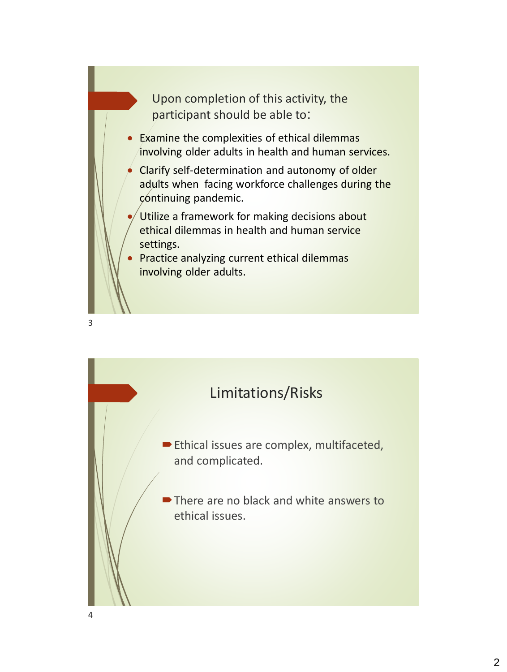Upon completion of this activity, the participant should be able to:

- Examine the complexities of ethical dilemmas involving older adults in health and human services.
- Clarify self-determination and autonomy of older adults when facing workforce challenges during the continuing pandemic.
- Utilize a framework for making decisions about ethical dilemmas in health and human service settings.
- Practice analyzing current ethical dilemmas involving older adults.



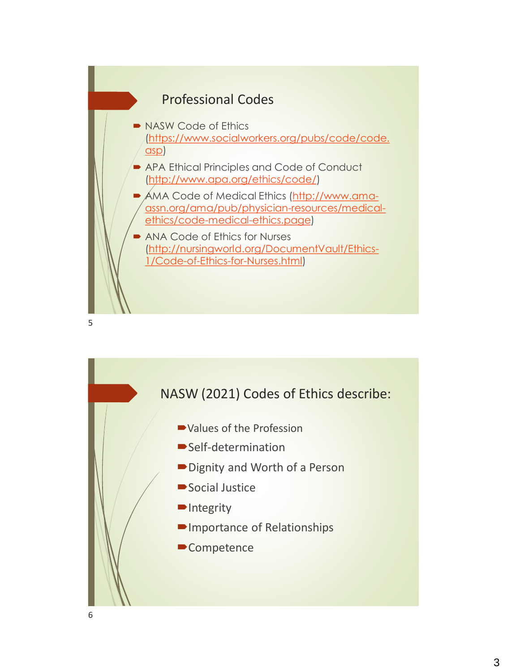

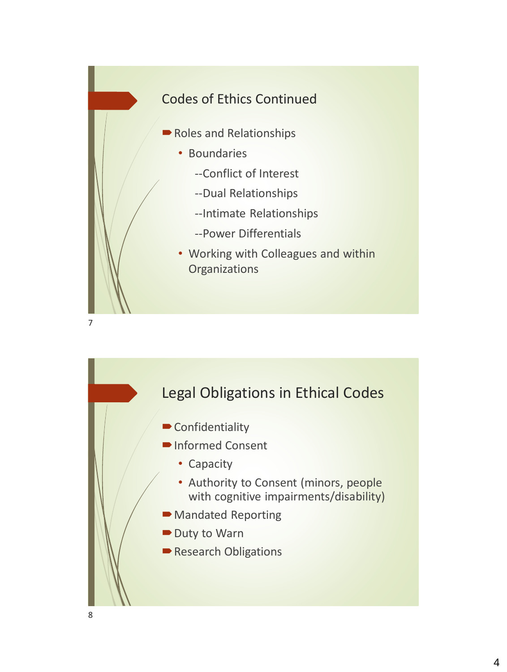

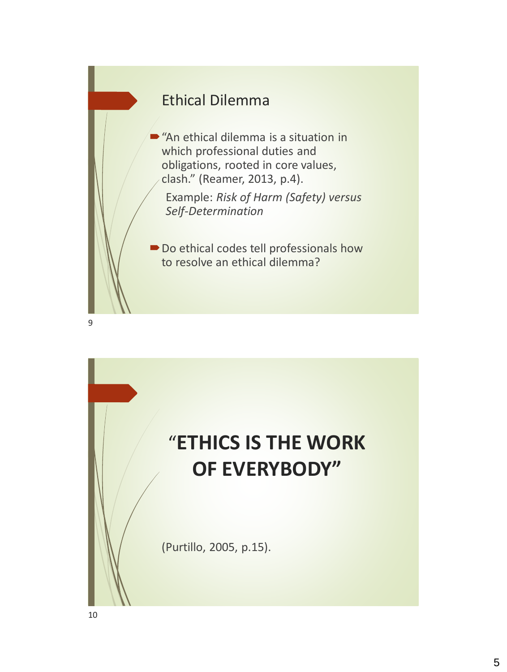

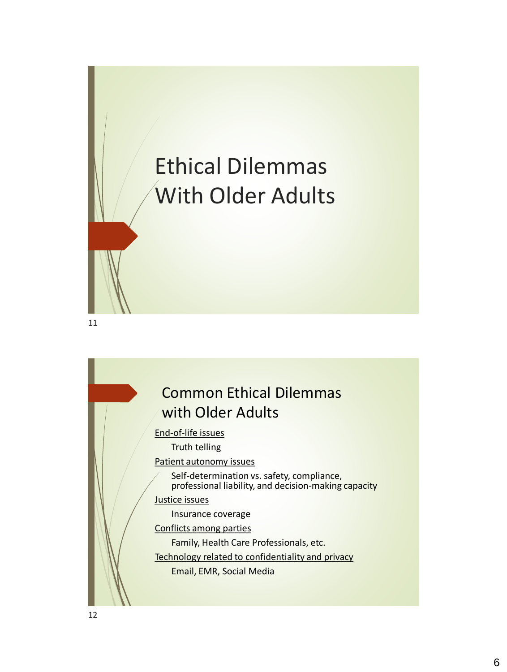## Ethical Dilemmas With Older Adults

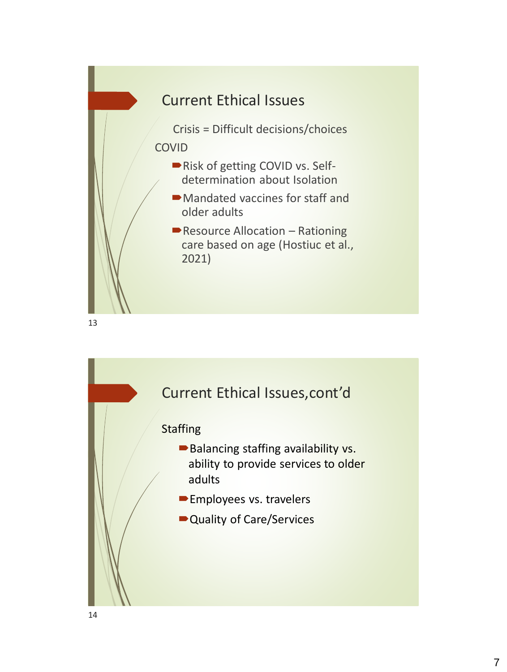

Current Ethical Issues,cont'd **Staffing** Balancing staffing availability vs. ability to provide services to older adults **Employees vs. travelers** ■ Quality of Care/Services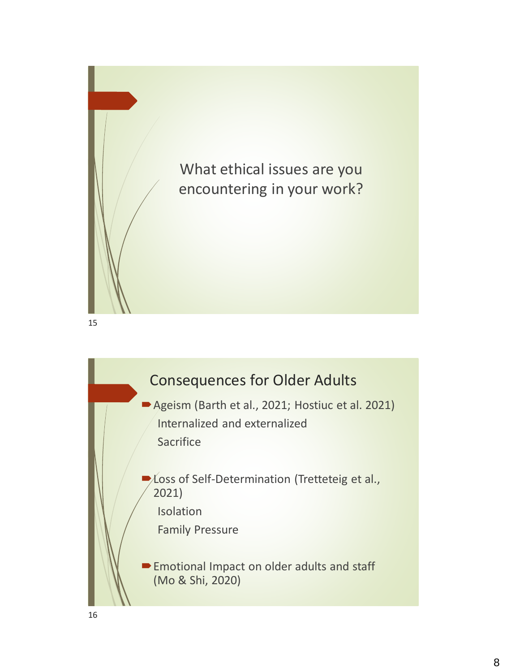

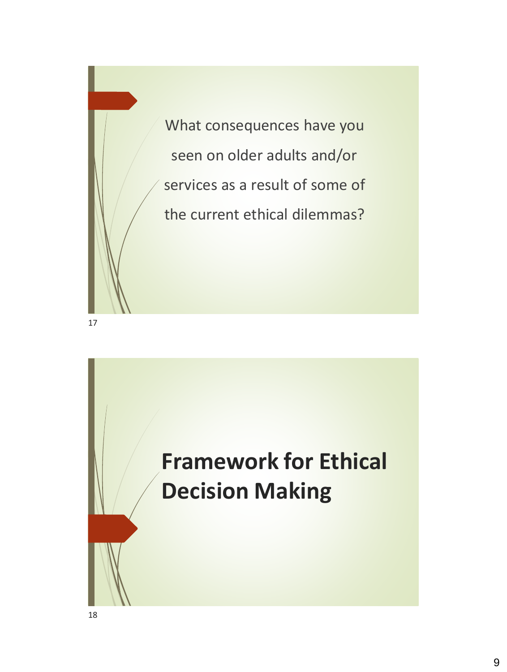

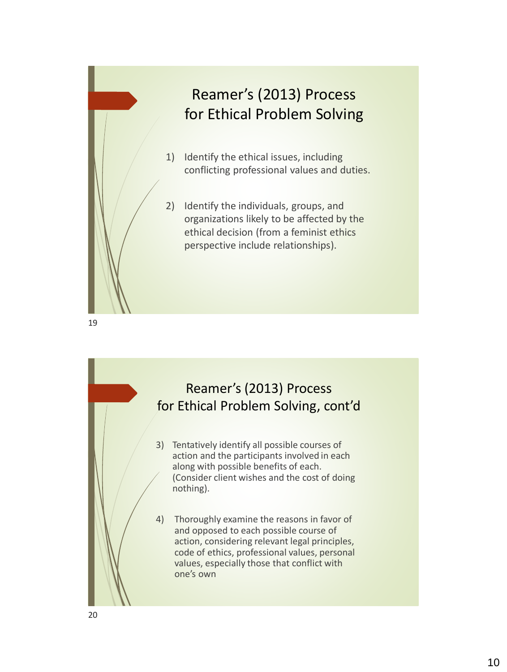

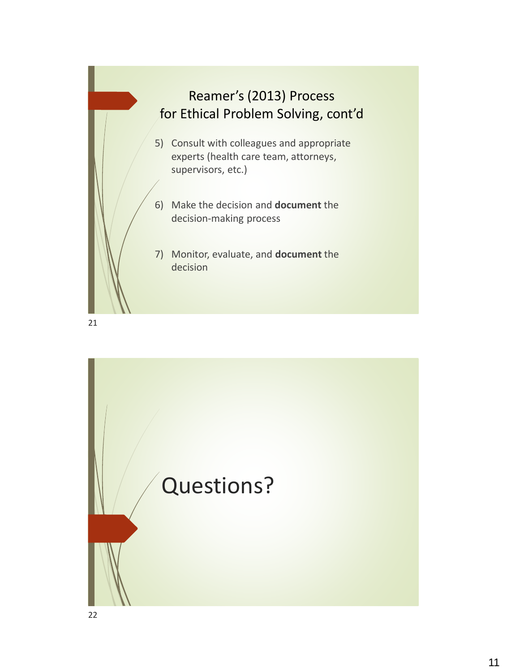